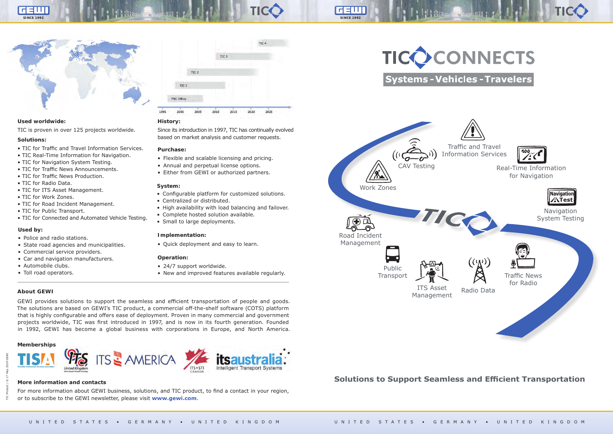#### **Solutions:**

- TIC for Traffic and Travel Information Services.
- TIC Real-Time Information for Navigation.
- TIC for Navigation System Testing.
- TIC for Traffic News Announcements.
- TIC for Traffic News Production.
- TIC for Radio Data.
- TIC for ITS Asset Management.
- TIC for Work Zones.
- TIC for Road Incident Management.
- TIC for Public Transport.
- TIC for Connected and Automated Vehicle Testing.

## **More information and contacts Solutions to Support Seamless and Efficient Transportation**

For more information about GEWI business, solutions, and TIC product, to find a contact in your region, or to subscribe to the GEWI newsletter, please visit **www.gewi.com**.

### **About GEWI**

GEWI provides solutions to support the seamless and efficient transportation of people and goods. The solutions are based on GEWI's TIC product, a commercial off-the-shelf software (COTS) platform that is highly configurable and offers ease of deployment. Proven in many commercial and government projects worldwide, TIC was first introduced in 1997, and is now in its fourth generation. Founded in 1992, GEWI has become a global business with corporations in Europe, and North America.

TIC Product / © 17 May 2019 GEWI



**Navigation** System Testing





#### **Memberships**





#### **Purchase:**

- Flexible and scalable licensing and pricing.
- Annual and perpetual license options.
- Either from GEWI or authorized partners.

#### **History:**

Since its introduction in 1997, TIC has continually evolved based on market analysis and customer requests.

#### **Operation:**

- 24/7 support worldwide.
- New and improved features available regularly.



#### **System:**

- Configurable platform for customized solutions.
- Centralized or distributed.
- High availability with load balancing and failover.
- Complete hosted solution available.
- Small to large deployments.

#### **Used by:**

- Police and radio stations.
- State road agencies and municipalities.
- Commercial service providers.
- Car and navigation manufacturers.
- Automobile clubs.
- Toll road operators.

#### $TIC<sub>4</sub>$ TIC<sub>3</sub> TIC<sub>2</sub>  $TC<sub>1</sub>$ TMC Office 1995 2000 2005 2010 2015 2025 2020

TICC

GEIN

#### **Used worldwide:**

TIC is proven in over 125 projects worldwide.

#### **Implementation:**

• Quick deployment and easy to learn.

Real-Time Information for Navigation





Traffic News for Radio

Radio Data